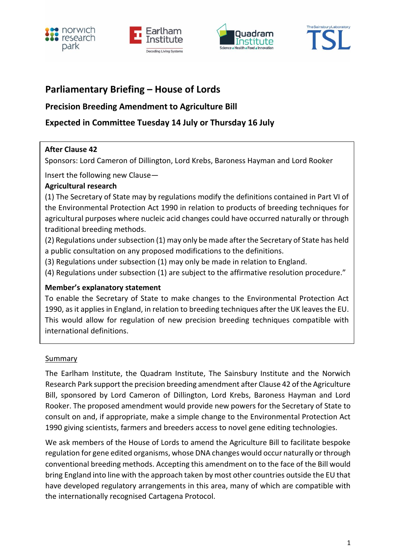







# **Parliamentary Briefing – House of Lords**

## **Precision Breeding Amendment to Agriculture Bill**

## **Expected in Committee Tuesday 14 July or Thursday 16 July**

### **After Clause 42**

Sponsors: Lord Cameron of Dillington, Lord Krebs, Baroness Hayman and Lord Rooker

Insert the following new Clause—

### **Agricultural research**

(1) The Secretary of State may by regulations modify the definitions contained in Part VI of the Environmental Protection Act 1990 in relation to products of breeding techniques for agricultural purposes where nucleic acid changes could have occurred naturally or through traditional breeding methods.

(2) Regulations under subsection (1) may only be made after the Secretary of State has held a public consultation on any proposed modifications to the definitions.

(3) Regulations under subsection (1) may only be made in relation to England.

(4) Regulations under subsection (1) are subject to the affirmative resolution procedure."

## **Member's explanatory statement**

To enable the Secretary of State to make changes to the Environmental Protection Act 1990, as it applies in England, in relation to breeding techniques after the UK leaves the EU. This would allow for regulation of new precision breeding techniques compatible with international definitions.

### **Summary**

The Earlham Institute, the Quadram Institute, The Sainsbury Institute and the Norwich Research Park support the precision breeding amendment after Clause 42 of the Agriculture Bill, sponsored by Lord Cameron of Dillington, Lord Krebs, Baroness Hayman and Lord Rooker. The proposed amendment would provide new powers for the Secretary of State to consult on and, if appropriate, make a simple change to the Environmental Protection Act 1990 giving scientists, farmers and breeders access to novel gene editing technologies.

We ask members of the House of Lords to amend the Agriculture Bill to facilitate bespoke regulation for gene edited organisms, whose DNA changes would occur naturally or through conventional breeding methods. Accepting this amendment on to the face of the Bill would bring England into line with the approach taken by most other countries outside the EU that have developed regulatory arrangements in this area, many of which are compatible with the internationally recognised Cartagena Protocol.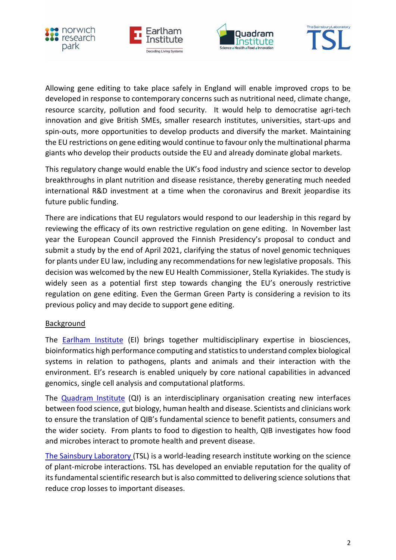







Allowing gene editing to take place safely in England will enable improved crops to be developed in response to contemporary concerns such as nutritional need, climate change, resource scarcity, pollution and food security. It would help to democratise agri-tech innovation and give British SMEs, smaller research institutes, universities, start-ups and spin-outs, more opportunities to develop products and diversify the market. Maintaining the EU restrictions on gene editing would continue to favour only the multinational pharma giants who develop their products outside the EU and already dominate global markets.

This regulatory change would enable the UK's food industry and science sector to develop breakthroughs in plant nutrition and disease resistance, thereby generating much needed international R&D investment at a time when the coronavirus and Brexit jeopardise its future public funding.

There are indications that EU regulators would respond to our leadership in this regard by reviewing the efficacy of its own restrictive regulation on gene editing. In November last year the European Council approved the Finnish Presidency's proposal to conduct and submit a study by the end of April 2021, clarifying the status of novel genomic techniques for plants under EU law, including any recommendations for new legislative proposals. This decision was welcomed by the new EU Health Commissioner, Stella Kyriakides. The study is widely seen as a potential first step towards changing the EU's onerously restrictive regulation on gene editing. Even the German Green Party is considering a revision to its previous policy and may decide to support gene editing.

### Background

The [Earlham Institute](http://www.earlham.ac.uk/) (EI) brings together multidisciplinary expertise in biosciences, bioinformatics high performance computing and statistics to understand complex biological systems in relation to pathogens, plants and animals and their interaction with the environment. EI's research is enabled uniquely by core national capabilities in advanced genomics, single cell analysis and computational platforms.

The [Quadram Institute](https://quadram.ac.uk/) (QI) is an interdisciplinary organisation creating new interfaces between food science, gut biology, human health and disease. Scientists and clinicians work to ensure the translation of QIB's fundamental science to benefit patients, consumers and the wider society. From plants to food to digestion to health, QIB investigates how food and microbes interact to promote health and prevent disease.

[The Sainsbury Laboratory](http://www.tsl.ac.uk/) (TSL) is a world-leading research institute working on the science of plant-microbe interactions. TSL has developed an enviable reputation for the quality of its fundamental scientific research but is also committed to delivering science solutions that reduce crop losses to important diseases.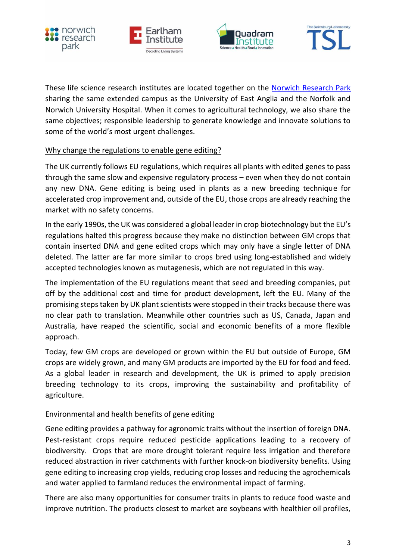







These life science research institutes are located together on the [Norwich Research Park](https://www.norwichresearchpark.com/) sharing the same extended campus as the University of East Anglia and the Norfolk and Norwich University Hospital. When it comes to agricultural technology, we also share the same objectives; responsible leadership to generate knowledge and innovate solutions to some of the world's most urgent challenges.

### Why change the regulations to enable gene editing?

The UK currently follows EU regulations, which requires all plants with edited genes to pass through the same slow and expensive regulatory process – even when they do not contain any new DNA. Gene editing is being used in plants as a new breeding technique for accelerated crop improvement and, outside of the EU, those crops are already reaching the market with no safety concerns.

In the early 1990s, the UK was considered a global leader in crop biotechnology but the EU's regulations halted this progress because they make no distinction between GM crops that contain inserted DNA and gene edited crops which may only have a single letter of DNA deleted. The latter are far more similar to crops bred using long-established and widely accepted technologies known as mutagenesis, which are not regulated in this way.

The implementation of the EU regulations meant that seed and breeding companies, put off by the additional cost and time for product development, left the EU. Many of the promising steps taken by UK plant scientists were stopped in their tracks because there was no clear path to translation. Meanwhile other countries such as US, Canada, Japan and Australia, have reaped the scientific, social and economic benefits of a more flexible approach.

Today, few GM crops are developed or grown within the EU but outside of Europe, GM crops are widely grown, and many GM products are imported by the EU for food and feed. As a global leader in research and development, the UK is primed to apply precision breeding technology to its crops, improving the sustainability and profitability of agriculture.

### Environmental and health benefits of gene editing

Gene editing provides a pathway for agronomic traits without the insertion of foreign DNA. Pest-resistant crops require reduced pesticide applications leading to a recovery of biodiversity. Crops that are more drought tolerant require less irrigation and therefore reduced abstraction in river catchments with further knock-on biodiversity benefits. Using gene editing to increasing crop yields, reducing crop losses and reducing the agrochemicals and water applied to farmland reduces the environmental impact of farming.

There are also many opportunities for consumer traits in plants to reduce food waste and improve nutrition. The products closest to market are soybeans with healthier oil profiles,